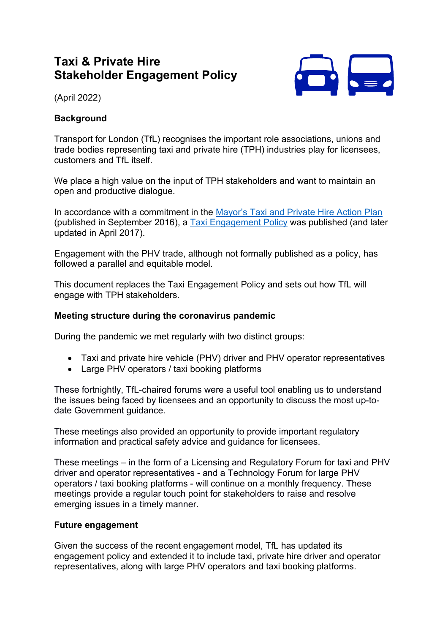# **Taxi & Private Hire Stakeholder Engagement Policy**



(April 2022)

# **Background**

Transport for London (TfL) recognises the important role associations, unions and trade bodies representing taxi and private hire (TPH) industries play for licensees, customers and TfL itself.

We place a high value on the input of TPH stakeholders and want to maintain an open and productive dialogue.

In accordance with a commitment in the [Mayor's Taxi and Private Hire Action Plan](http://content.tfl.gov.uk/taxi-and-private-hire-action-plan-2016.pdf) (published in September 2016), a [Taxi Engagement Policy](http://content.tfl.gov.uk/taxi-engagement-policy-april-2017.pdf) was published (and later updated in April 2017).

Engagement with the PHV trade, although not formally published as a policy, has followed a parallel and equitable model.

This document replaces the Taxi Engagement Policy and sets out how TfL will engage with TPH stakeholders.

#### **Meeting structure during the coronavirus pandemic**

During the pandemic we met regularly with two distinct groups:

- Taxi and private hire vehicle (PHV) driver and PHV operator representatives
- Large PHV operators / taxi booking platforms

These fortnightly, TfL-chaired forums were a useful tool enabling us to understand the issues being faced by licensees and an opportunity to discuss the most up-todate Government guidance.

These meetings also provided an opportunity to provide important regulatory information and practical safety advice and guidance for licensees.

These meetings – in the form of a Licensing and Regulatory Forum for taxi and PHV driver and operator representatives - and a Technology Forum for large PHV operators / taxi booking platforms - will continue on a monthly frequency. These meetings provide a regular touch point for stakeholders to raise and resolve emerging issues in a timely manner.

## **Future engagement**

Given the success of the recent engagement model, TfL has updated its engagement policy and extended it to include taxi, private hire driver and operator representatives, along with large PHV operators and taxi booking platforms.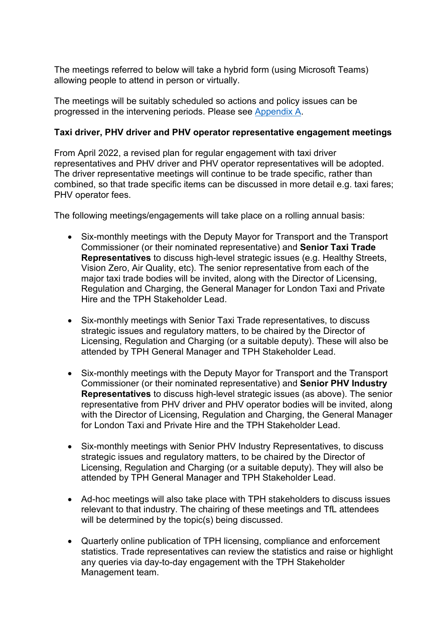The meetings referred to below will take a hybrid form (using Microsoft Teams) allowing people to attend in person or virtually.

The meetings will be suitably scheduled so actions and policy issues can be progressed in the intervening periods. Please see [Appendix A.](#page-5-0)

#### **Taxi driver, PHV driver and PHV operator representative engagement meetings**

From April 2022, a revised plan for regular engagement with taxi driver representatives and PHV driver and PHV operator representatives will be adopted. The driver representative meetings will continue to be trade specific, rather than combined, so that trade specific items can be discussed in more detail e.g. taxi fares; PHV operator fees.

The following meetings/engagements will take place on a rolling annual basis:

- Six-monthly meetings with the Deputy Mayor for Transport and the Transport Commissioner (or their nominated representative) and **Senior Taxi Trade Representatives** to discuss high-level strategic issues (e.g. Healthy Streets, Vision Zero, Air Quality, etc). The senior representative from each of the major taxi trade bodies will be invited, along with the Director of Licensing, Regulation and Charging, the General Manager for London Taxi and Private Hire and the TPH Stakeholder Lead.
- Six-monthly meetings with Senior Taxi Trade representatives, to discuss strategic issues and regulatory matters, to be chaired by the Director of Licensing, Regulation and Charging (or a suitable deputy). These will also be attended by TPH General Manager and TPH Stakeholder Lead.
- Six-monthly meetings with the Deputy Mayor for Transport and the Transport Commissioner (or their nominated representative) and **Senior PHV Industry Representatives** to discuss high-level strategic issues (as above). The senior representative from PHV driver and PHV operator bodies will be invited, along with the Director of Licensing, Regulation and Charging, the General Manager for London Taxi and Private Hire and the TPH Stakeholder Lead.
- Six-monthly meetings with Senior PHV Industry Representatives, to discuss strategic issues and regulatory matters, to be chaired by the Director of Licensing, Regulation and Charging (or a suitable deputy). They will also be attended by TPH General Manager and TPH Stakeholder Lead.
- Ad-hoc meetings will also take place with TPH stakeholders to discuss issues relevant to that industry. The chairing of these meetings and TfL attendees will be determined by the topic(s) being discussed.
- Quarterly online publication of TPH licensing, compliance and enforcement statistics. Trade representatives can review the statistics and raise or highlight any queries via day-to-day engagement with the TPH Stakeholder Management team.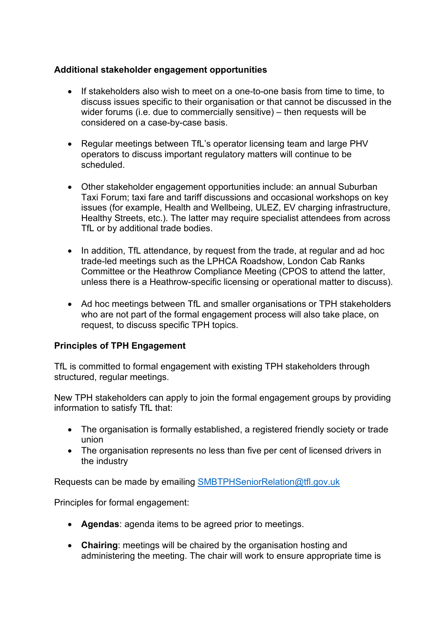## **Additional stakeholder engagement opportunities**

- If stakeholders also wish to meet on a one-to-one basis from time to time, to discuss issues specific to their organisation or that cannot be discussed in the wider forums (i.e. due to commercially sensitive) – then requests will be considered on a case-by-case basis.
- Regular meetings between TfL's operator licensing team and large PHV operators to discuss important regulatory matters will continue to be scheduled.
- Other stakeholder engagement opportunities include: an annual Suburban Taxi Forum; taxi fare and tariff discussions and occasional workshops on key issues (for example, Health and Wellbeing, ULEZ, EV charging infrastructure, Healthy Streets, etc.). The latter may require specialist attendees from across TfL or by additional trade bodies.
- In addition, TfL attendance, by request from the trade, at regular and ad hoc trade-led meetings such as the LPHCA Roadshow, London Cab Ranks Committee or the Heathrow Compliance Meeting (CPOS to attend the latter, unless there is a Heathrow-specific licensing or operational matter to discuss).
- Ad hoc meetings between TfL and smaller organisations or TPH stakeholders who are not part of the formal engagement process will also take place, on request, to discuss specific TPH topics.

## **Principles of TPH Engagement**

TfL is committed to formal engagement with existing TPH stakeholders through structured, regular meetings.

New TPH stakeholders can apply to join the formal engagement groups by providing information to satisfy TfL that:

- The organisation is formally established, a registered friendly society or trade union
- The organisation represents no less than five per cent of licensed drivers in the industry

Requests can be made by emailing [SMBTPHSeniorRelation@tfl.gov.uk](mailto:SMBTPHSeniorRelation@tfl.gov.uk)

Principles for formal engagement:

- **Agendas**: agenda items to be agreed prior to meetings.
- **Chairing**: meetings will be chaired by the organisation hosting and administering the meeting. The chair will work to ensure appropriate time is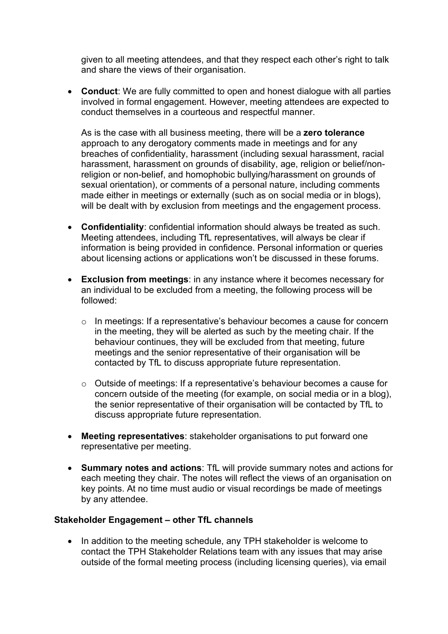given to all meeting attendees, and that they respect each other's right to talk and share the views of their organisation.

• **Conduct**: We are fully committed to open and honest dialogue with all parties involved in formal engagement. However, meeting attendees are expected to conduct themselves in a courteous and respectful manner.

As is the case with all business meeting, there will be a **zero tolerance** approach to any derogatory comments made in meetings and for any breaches of confidentiality, harassment (including sexual harassment, racial harassment, harassment on grounds of disability, age, religion or belief/nonreligion or non-belief, and homophobic bullying/harassment on grounds of sexual orientation), or comments of a personal nature, including comments made either in meetings or externally (such as on social media or in blogs), will be dealt with by exclusion from meetings and the engagement process.

- **Confidentiality**: confidential information should always be treated as such. Meeting attendees, including TfL representatives, will always be clear if information is being provided in confidence. Personal information or queries about licensing actions or applications won't be discussed in these forums.
- **Exclusion from meetings**: in any instance where it becomes necessary for an individual to be excluded from a meeting, the following process will be followed:
	- o In meetings: If a representative's behaviour becomes a cause for concern in the meeting, they will be alerted as such by the meeting chair. If the behaviour continues, they will be excluded from that meeting, future meetings and the senior representative of their organisation will be contacted by TfL to discuss appropriate future representation.
	- o Outside of meetings: If a representative's behaviour becomes a cause for concern outside of the meeting (for example, on social media or in a blog), the senior representative of their organisation will be contacted by TfL to discuss appropriate future representation.
- **Meeting representatives**: stakeholder organisations to put forward one representative per meeting.
- **Summary notes and actions**: TfL will provide summary notes and actions for each meeting they chair. The notes will reflect the views of an organisation on key points. At no time must audio or visual recordings be made of meetings by any attendee.

#### **Stakeholder Engagement – other TfL channels**

• In addition to the meeting schedule, any TPH stakeholder is welcome to contact the TPH Stakeholder Relations team with any issues that may arise outside of the formal meeting process (including licensing queries), via email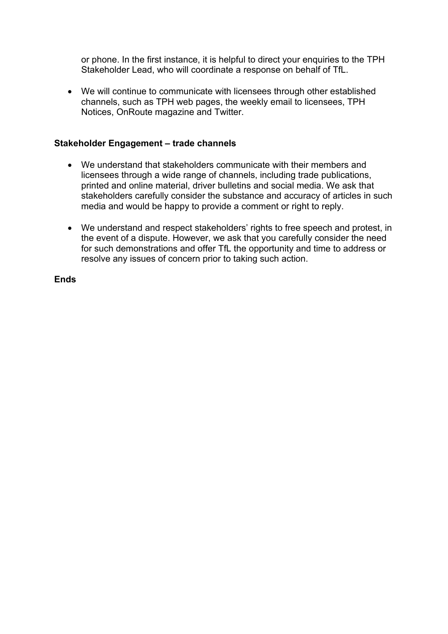or phone. In the first instance, it is helpful to direct your enquiries to the TPH Stakeholder Lead, who will coordinate a response on behalf of TfL.

• We will continue to communicate with licensees through other established channels, such as TPH web pages, the weekly email to licensees, TPH Notices, OnRoute magazine and Twitter.

#### **Stakeholder Engagement – trade channels**

- We understand that stakeholders communicate with their members and licensees through a wide range of channels, including trade publications, printed and online material, driver bulletins and social media. We ask that stakeholders carefully consider the substance and accuracy of articles in such media and would be happy to provide a comment or right to reply.
- We understand and respect stakeholders' rights to free speech and protest, in the event of a dispute. However, we ask that you carefully consider the need for such demonstrations and offer TfL the opportunity and time to address or resolve any issues of concern prior to taking such action.

**Ends**